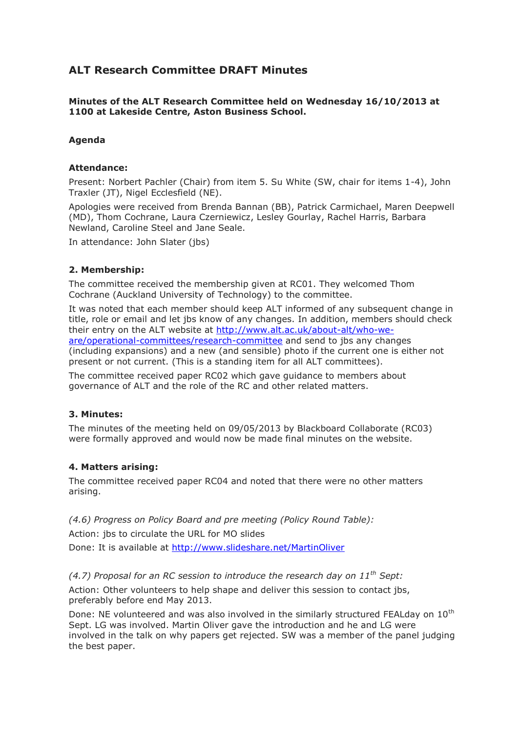# **ALT Research Committee DRAFT Minutes**

**Minutes of the ALT Research Committee held on Wednesday 16/10/2013 at 1100 at Lakeside Centre, Aston Business School.**

## **Agenda**

## **Attendance:**

Present: Norbert Pachler (Chair) from item 5. Su White (SW, chair for items 1-4), John Traxler (JT), Nigel Ecclesfield (NE).

Apologies were received from Brenda Bannan (BB), Patrick Carmichael, Maren Deepwell (MD), Thom Cochrane, Laura Czerniewicz, Lesley Gourlay, Rachel Harris, Barbara Newland, Caroline Steel and Jane Seale.

In attendance: John Slater (jbs)

## **2. Membership:**

The committee received the membership given at RC01. They welcomed Thom Cochrane (Auckland University of Technology) to the committee.

It was noted that each member should keep ALT informed of any subsequent change in title, role or email and let jbs know of any changes. In addition, members should check their entry on the ALT website at [http://www.alt.ac.uk/about-alt/who-we](http://www.alt.ac.uk/about-alt/who-we-are/operational-committees/research-committee)[are/operational-committees/research-committee](http://www.alt.ac.uk/about-alt/who-we-are/operational-committees/research-committee) and send to jbs any changes (including expansions) and a new (and sensible) photo if the current one is either not present or not current. (This is a standing item for all ALT committees).

The committee received paper RC02 which gave guidance to members about governance of ALT and the role of the RC and other related matters.

### **3. Minutes:**

The minutes of the meeting held on 09/05/2013 by Blackboard Collaborate (RC03) were formally approved and would now be made final minutes on the website.

### **4. Matters arising:**

The committee received paper RC04 and noted that there were no other matters arising.

*(4.6) Progress on Policy Board and pre meeting (Policy Round Table):* Action: jbs to circulate the URL for MO slides Done: It is available at<http://www.slideshare.net/MartinOliver>

### *(4.7) Proposal for an RC session to introduce the research day on 11th Sept:*

Action: Other volunteers to help shape and deliver this session to contact jbs, preferably before end May 2013.

Done: NE volunteered and was also involved in the similarly structured FEALday on 10<sup>th</sup> Sept. LG was involved. Martin Oliver gave the introduction and he and LG were involved in the talk on why papers get rejected. SW was a member of the panel judging the best paper.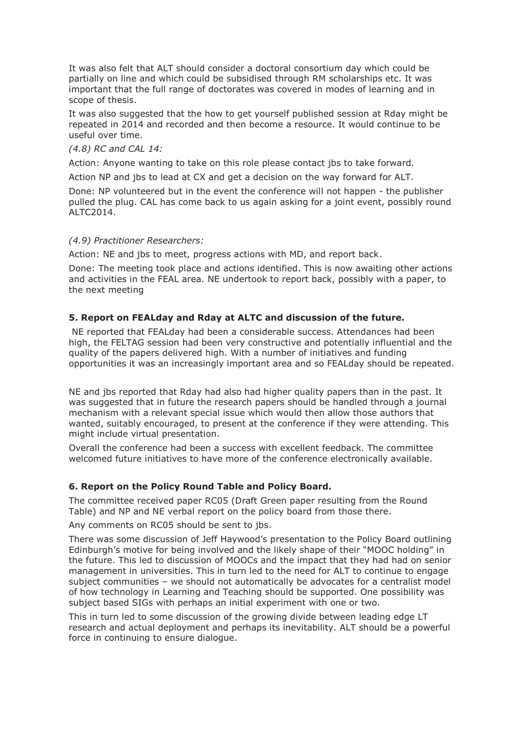It was also felt that ALT should consider a doctoral consortium day which could be partially on line and which could be subsidised through RM scholarships etc. It was important that the full range of doctorates was covered in modes of learning and in scope of thesis.

It was also suggested that the how to get yourself published session at Rday might be repeated in 2014 and recorded and then become a resource. It would continue to be useful over time.

### *(4.8) RC and CAL 14:*

Action: Anyone wanting to take on this role please contact jbs to take forward.

Action NP and jbs to lead at CX and get a decision on the way forward for ALT.

Done: NP volunteered but in the event the conference will not happen - the publisher pulled the plug. CAL has come back to us again asking for a joint event, possibly round ALTC2014.

#### *(4.9) Practitioner Researchers:*

Action: NE and jbs to meet, progress actions with MD, and report back.

Done: The meeting took place and actions identified. This is now awaiting other actions and activities in the FEAL area. NE undertook to report back, possibly with a paper, to the next meeting

## **5. Report on FEALday and Rday at ALTC and discussion of the future.**

NE reported that FEALday had been a considerable success. Attendances had been high, the FELTAG session had been very constructive and potentially influential and the quality of the papers delivered high. With a number of initiatives and funding opportunities it was an increasingly important area and so FEALday should be repeated.

NE and jbs reported that Rday had also had higher quality papers than in the past. It was suggested that in future the research papers should be handled through a journal mechanism with a relevant special issue which would then allow those authors that wanted, suitably encouraged, to present at the conference if they were attending. This might include virtual presentation.

Overall the conference had been a success with excellent feedback. The committee welcomed future initiatives to have more of the conference electronically available.

# **6. Report on the Policy Round Table and Policy Board.**

The committee received paper RC05 (Draft Green paper resulting from the Round Table) and NP and NE verbal report on the policy board from those there.

Any comments on RC05 should be sent to jbs.

There was some discussion of Jeff Haywood's presentation to the Policy Board outlining Edinburgh's motive for being involved and the likely shape of their "MOOC holding" in the future. This led to discussion of MOOCs and the impact that they had had on senior management in universities. This in turn led to the need for ALT to continue to engage subject communities – we should not automatically be advocates for a centralist model of how technology in Learning and Teaching should be supported. One possibility was subject based SIGs with perhaps an initial experiment with one or two.

This in turn led to some discussion of the growing divide between leading edge LT research and actual deployment and perhaps its inevitability. ALT should be a powerful force in continuing to ensure dialogue.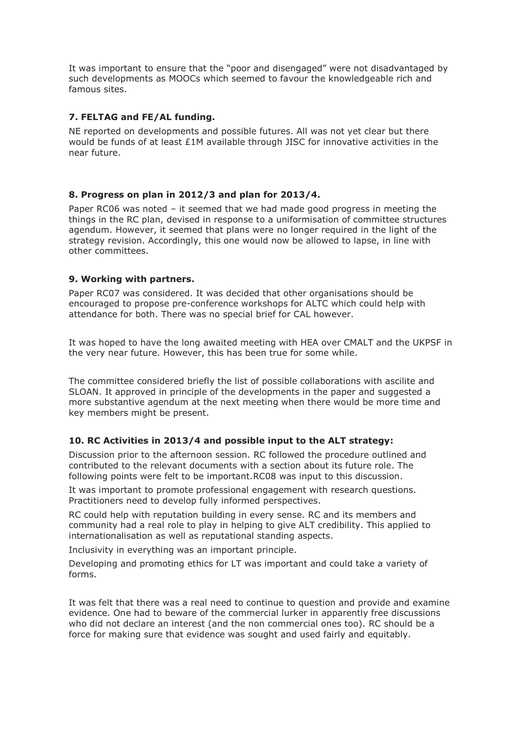It was important to ensure that the "poor and disengaged" were not disadvantaged by such developments as MOOCs which seemed to favour the knowledgeable rich and famous sites.

# **7. FELTAG and FE/AL funding.**

NE reported on developments and possible futures. All was not yet clear but there would be funds of at least £1M available through JISC for innovative activities in the near future.

# **8. Progress on plan in 2012/3 and plan for 2013/4.**

Paper RC06 was noted – it seemed that we had made good progress in meeting the things in the RC plan, devised in response to a uniformisation of committee structures agendum. However, it seemed that plans were no longer required in the light of the strategy revision. Accordingly, this one would now be allowed to lapse, in line with other committees.

## **9. Working with partners.**

Paper RC07 was considered. It was decided that other organisations should be encouraged to propose pre-conference workshops for ALTC which could help with attendance for both. There was no special brief for CAL however.

It was hoped to have the long awaited meeting with HEA over CMALT and the UKPSF in the very near future. However, this has been true for some while.

The committee considered briefly the list of possible collaborations with ascilite and SLOAN. It approved in principle of the developments in the paper and suggested a more substantive agendum at the next meeting when there would be more time and key members might be present.

# **10. RC Activities in 2013/4 and possible input to the ALT strategy:**

Discussion prior to the afternoon session. RC followed the procedure outlined and contributed to the relevant documents with a section about its future role. The following points were felt to be important.RC08 was input to this discussion.

It was important to promote professional engagement with research questions. Practitioners need to develop fully informed perspectives.

RC could help with reputation building in every sense. RC and its members and community had a real role to play in helping to give ALT credibility. This applied to internationalisation as well as reputational standing aspects.

Inclusivity in everything was an important principle.

Developing and promoting ethics for LT was important and could take a variety of forms.

It was felt that there was a real need to continue to question and provide and examine evidence. One had to beware of the commercial lurker in apparently free discussions who did not declare an interest (and the non commercial ones too). RC should be a force for making sure that evidence was sought and used fairly and equitably.